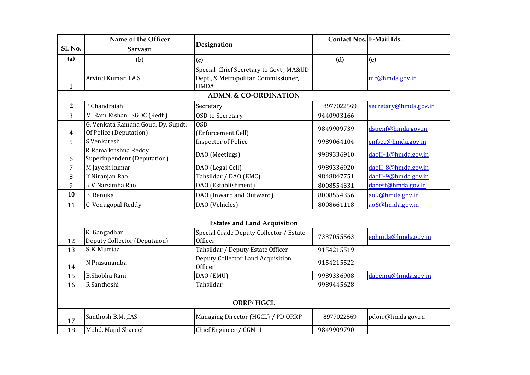|                | Name of the Officer                                          |                                                                                               | Contact Nos. E-Mail Ids. |                       |
|----------------|--------------------------------------------------------------|-----------------------------------------------------------------------------------------------|--------------------------|-----------------------|
| <b>Sl. No.</b> | Sarvasri                                                     | Designation                                                                                   |                          |                       |
| (a)            | (b)                                                          | (c)                                                                                           | (d)                      | (e)                   |
| $\mathbf{1}$   | Arvind Kumar, I.A.S                                          | Special Chief Secretary to Govt., MA&UD<br>Dept., & Metropolitan Commissioner,<br><b>HMDA</b> |                          | mc@hmda.gov.in        |
|                |                                                              | <b>ADMN. &amp; CO-ORDINATION</b>                                                              |                          |                       |
| $\overline{2}$ | P Chandraiah                                                 | Secretary                                                                                     | 8977022569               | secretary@hmda.gov.in |
| 3              | M. Ram Kishan, SGDC (Redt.)                                  | <b>OSD</b> to Secretary                                                                       | 9440903166               |                       |
| 4              | G. Venkata Ramana Goud, Dy. Supdt.<br>Of Police (Deputation) | <b>OSD</b><br>(Enforcement Cell)                                                              | 9849909739               | dspenf@hmda.gov.in    |
| 5              | S Venkatesh                                                  | <b>Inspector of Police</b>                                                                    | 9989064104               | enfsec@hmda.gov.in    |
| 6              | R Rama krishna Reddy<br>Superinpendent (Deputation)          | DAO (Meetings)                                                                                | 9989336910               | daoII-1@hmda.gov.in   |
| 7              | M.Jayesh kumar                                               | DAO (Legal Cell)                                                                              | 9989336920               | daoII-8@hmda.gov.in   |
| 8              | K Niranjan Rao                                               | Tahsildar / DAO (EMC)                                                                         | 9848847751               | daoII-9@hmda.gov.in   |
| 9              | K V Narsimha Rao                                             | DAO (Establishment)                                                                           | 8008554331               | daoest@hmda.gov.in    |
| 10             | B. Renuka                                                    | DAO (Inward and Outward)                                                                      | 8008554356               | ao9@hmda.gov.in       |
| 11             | C. Venugopal Reddy                                           | DAO (Vehicles)                                                                                | 8008661118               | ao6@hmda.gov.in       |
|                |                                                              |                                                                                               |                          |                       |
|                |                                                              | <b>Estates and Land Acquisition</b>                                                           |                          |                       |
| 12             | K. Gangadhar<br>Deputy Collector (Deputaion)                 | Special Grade Deputy Collector / Estate<br>Officer                                            | 7337055563               | eohmda@hmda.gov.in    |
| 13             | S K Mumtaz                                                   | Tahsildar / Deputy Estate Officer                                                             | 9154215519               |                       |
| 14             | N Prasunamba                                                 | Deputy Collector Land Acquisition<br>Officer                                                  | 9154215522               |                       |
| 15             | <b>B.Shobha Rani</b>                                         | DAO (EMU)                                                                                     | 9989336908               | daoemu@hmda.gov.in    |
| 16             | R Santhoshi                                                  | Tahsildar                                                                                     | 9989445628               |                       |
|                |                                                              |                                                                                               |                          |                       |
|                |                                                              | <b>ORRP/HGCL</b>                                                                              |                          |                       |
| 17             | Santhosh B.M., IAS                                           | Managing Director (HGCL) / PD ORRP                                                            | 8977022569               | pdorr@hmda.gov.in     |
| 18             | Mohd. Majid Shareef                                          | Chief Engineer / CGM-I                                                                        | 9849909790               |                       |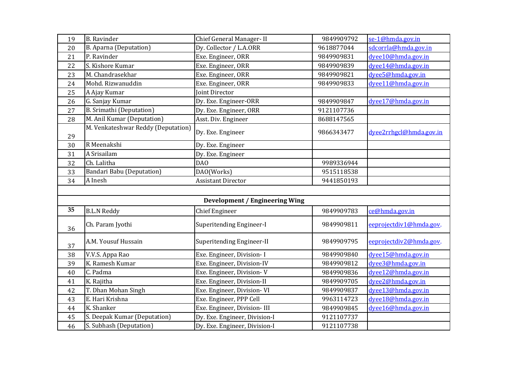| 19 | <b>B.</b> Ravinder                 | Chief General Manager-II              | 9849909792 | se-1@hmda.gov.in        |
|----|------------------------------------|---------------------------------------|------------|-------------------------|
| 20 | B. Aparna (Deputation)             | Dy. Collector / L.A.ORR               | 9618877044 | sdcorrla@hmda.gov.in    |
| 21 | P. Ravinder                        | Exe. Engineer, ORR                    | 9849909831 | dyee10@hmda.gov.in      |
| 22 | S. Kishore Kumar                   | Exe. Engineer, ORR                    | 9849909839 | dyee14@hmda.gov.in      |
| 23 | M. Chandrasekhar                   | Exe. Engineer, ORR                    | 9849909821 | dyee5@hmda.gov.in       |
| 24 | Mohd. Rizwanuddin                  | Exe. Engineer, ORR                    | 9849909833 | dvee11@hmda.gov.in      |
| 25 | A Ajay Kumar                       | Joint Director                        |            |                         |
| 26 | G. Sanjay Kumar                    | Dy. Exe. Engineer-ORR                 | 9849909847 | dyee17@hmda.gov.in      |
| 27 | <b>B.</b> Srimathi (Deputation)    | Dy. Exe. Engineer, ORR                | 9121107736 |                         |
| 28 | M. Anil Kumar (Deputation)         | Asst. Div. Engineer                   | 8688147565 |                         |
| 29 | M. Venkateshwar Reddy (Deputation) | Dy. Exe. Engineer                     | 9866343477 | dyee2rrhgcl@hmda.gov.in |
| 30 | R Meenakshi                        | Dy. Exe. Engineer                     |            |                         |
| 31 | A Srisailam                        | Dy. Exe. Engineer                     |            |                         |
| 32 | Ch. Lalitha                        | DA <sub>0</sub>                       | 9989336944 |                         |
| 33 | <b>Bandari Babu (Deputation)</b>   | DAO(Works)                            | 9515118538 |                         |
| 34 | A Inesh                            | <b>Assistant Director</b>             | 9441850193 |                         |
|    |                                    |                                       |            |                         |
|    |                                    | <b>Development / Engineering Wing</b> |            |                         |
| 35 | <b>B.L.N Reddy</b>                 | <b>Chief Engineer</b>                 | 9849909783 | ce@hmda.gov.in          |
| 36 | Ch. Param Jyothi                   | Superitending Engineer-I              | 9849909811 | eeprojectdiv1@hmda.gov. |
| 37 | A.M. Yousuf Hussain                | Superitending Engineer-II             | 9849909795 | eeprojectdiv2@hmda.gov. |
| 38 | V.V.S. Appa Rao                    | Exe. Engineer, Division- I            | 9849909840 | dyee15@hmda.gov.in      |
| 39 | K. Ramesh Kumar                    | Exe. Engineer, Division-IV            | 9849909812 | dyee3@hmda.gov.in       |
| 40 | C. Padma                           | Exe. Engineer, Division-V             | 9849909836 | dyee12@hmda.gov.in      |
| 41 | K. Rajitha                         | Exe. Engineer, Division-II            | 9849909705 | dvee2@hmda.gov.in       |
| 42 | T. Dhan Mohan Singh                | Exe. Engineer, Division-VI            | 9849909837 | dvee13@hmda.gov.in      |
| 43 | E. Hari Krishna                    | Exe. Engineer, PPP Cell               | 9963114723 | dyee18@hmda.gov.in      |
| 44 | K. Shanker                         | Exe. Engineer, Division-III           | 9849909845 | dyee16@hmda.gov.in      |
| 45 | S. Deepak Kumar (Deputation)       | Dy. Exe. Engineer, Division-I         | 9121107737 |                         |
| 46 | S. Subhash (Deputation)            | Dy. Exe. Engineer, Division-I         | 9121107738 |                         |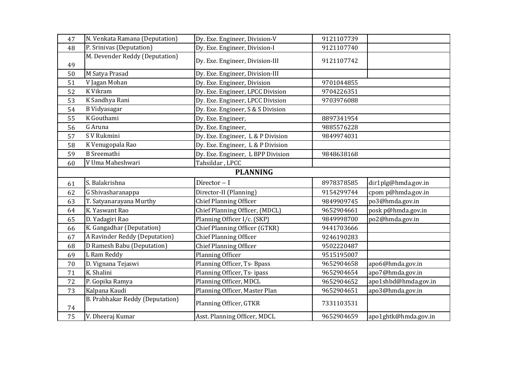| 47 | N. Venkata Ramana (Deputation)  | Dy. Exe. Engineer, Division-V     | 9121107739 |                      |
|----|---------------------------------|-----------------------------------|------------|----------------------|
| 48 | P. Srinivas (Deputation)        | Dy. Exe. Engineer, Division-I     | 9121107740 |                      |
| 49 | M. Devender Reddy (Deputation)  | Dy. Exe. Engineer, Division-III   | 9121107742 |                      |
| 50 | M Satya Prasad                  | Dy. Exe. Engineer, Division-III   |            |                      |
| 51 | V Jagan Mohan                   | Dy. Exe. Engineer, Division       | 9701044855 |                      |
| 52 | K Vikram                        | Dy. Exe. Engineer, LPCC Division  | 9704226351 |                      |
| 53 | K Sandhya Rani                  | Dy. Exe. Engineer, LPCC Division  | 9703976088 |                      |
| 54 | <b>B</b> Vidyasagar             | Dy. Exe. Engineer, S & S Division |            |                      |
| 55 | K Gouthami                      | Dy. Exe. Engineer,                | 8897341954 |                      |
| 56 | G Aruna                         | Dy. Exe. Engineer,                | 9885576228 |                      |
| 57 | S V Rukmini                     | Dy. Exe. Engineer, L & P Division | 9849974031 |                      |
| 58 | K Venugopala Rao                | Dy. Exe. Engineer, L & P Division |            |                      |
| 59 | <b>B</b> Sreemathi              | Dy. Exe. Engineer, L BPP Division | 9848638168 |                      |
| 60 | V Uma Maheshwari                | Tahsildar, LPCC                   |            |                      |
|    |                                 | <b>PLANNING</b>                   |            |                      |
| 61 | S. Balakrishna                  | Director $-1$                     | 8978378585 | dir1plg@hmda.gov.in  |
| 62 | G Shivasharanappa               | Director-II (Planning)            | 9154299744 | cpom p@hmda.gov.in   |
| 63 | T. Satyanarayana Murthy         | <b>Chief Planning Officer</b>     | 9849909745 | po3@hmda.gov.in      |
| 64 | K. Yaswant Rao                  | Chief Planning Officer, (MDCL)    | 9652904661 | posk p@hmda.gov.in   |
| 65 | D. Yadagiri Rao                 | Planning Officer I/c. (SKP)       | 9849998700 | po2@hmda.gov.in      |
| 66 | K. Gangadhar (Deputation)       | Chief Planning Officer (GTKR)     | 9441703666 |                      |
| 67 | A Ravinder Reddy (Deputation)   | <b>Chief Planning Officer</b>     | 9246190283 |                      |
| 68 | D Ramesh Babu (Deputation)      | <b>Chief Planning Officer</b>     | 9502220487 |                      |
| 69 | L Ram Reddy                     | Planning Officer                  | 9515195007 |                      |
| 70 | D. Vignana Tejaswi              | Planning Officer, Ts- Bpass       | 9652904658 | apo6@hmda.gov.in     |
| 71 | K. Shalini                      | Planning Officer, Ts-ipass        | 9652904654 | apo7@hmda.gov.in     |
| 72 | P. Gopika Ramya                 | Planning Officer, MDCL            | 9652904652 | apo1shbd@hmda.gov.in |
| 73 | Kalpana Kaudi                   | Planning Officer, Master Plan     | 9652904651 | apo3@hmda.gov.in     |
| 74 | B. Prabhakar Reddy (Deputation) | Planning Officer, GTKR            | 7331103531 |                      |
| 75 | V. Dheeraj Kumar                | Asst. Planning Officer, MDCL      | 9652904659 | apo1ghtk@hmda.gov.in |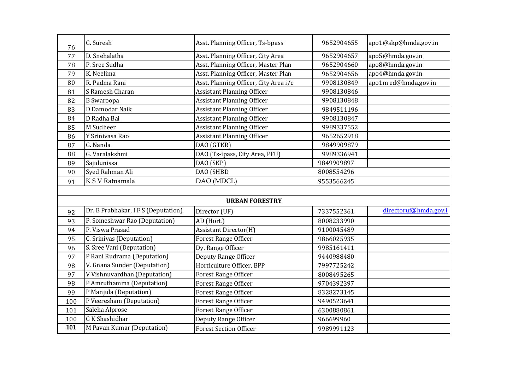| 76  | G. Suresh                           | Asst. Planning Officer, Ts-bpass      | 9652904655 | apo1@skp@hmda.gov.in  |
|-----|-------------------------------------|---------------------------------------|------------|-----------------------|
| 77  | D. Snehalatha                       | Asst. Planning Officer, City Area     | 9652904657 | apo5@hmda.gov.in      |
| 78  | P. Sree Sudha                       | Asst. Planning Officer, Master Plan   | 9652904660 | apo8@hmda.gov.in      |
| 79  | K. Neelima                          | Asst. Planning Officer, Master Plan   | 9652904656 | apo4@hmda.gov.in      |
| 80  | R. Padma Rani                       | Asst. Planning Officer, City Area i/c | 9908130849 | apo1m ed@hmda.gov.in  |
| 81  | S Ramesh Charan                     | <b>Assistant Planning Officer</b>     | 9908130846 |                       |
| 82  | <b>B</b> Swaroopa                   | <b>Assistant Planning Officer</b>     | 9908130848 |                       |
| 83  | D Damodar Naik                      | <b>Assistant Planning Officer</b>     | 9849511196 |                       |
| 84  | D Radha Bai                         | <b>Assistant Planning Officer</b>     | 9908130847 |                       |
| 85  | M Sudheer                           | <b>Assistant Planning Officer</b>     | 9989337552 |                       |
| 86  | Y Srinivasa Rao                     | <b>Assistant Planning Officer</b>     | 9652652918 |                       |
| 87  | G. Nanda                            | DAO (GTKR)                            | 9849909879 |                       |
| 88  | G. Varalakshmi                      | DAO (Ts-ipass, City Area, PFU)        | 9989336941 |                       |
| 89  | Sajidunissa                         | DAO (SKP)                             | 9849909897 |                       |
| 90  | Syed Rahman Ali                     | DAO (SHBD                             | 8008554296 |                       |
| 91  | K S V Ratnamala                     | DAO (MDCL)                            | 9553566245 |                       |
|     |                                     |                                       |            |                       |
|     |                                     | <b>URBAN FORESTRY</b>                 |            |                       |
| 92  | Dr. B Prabhakar, I.F.S (Deputation) | Director (UF)                         | 7337552361 | directoruf@hmda.gov.i |
| 93  | P. Someshwar Rao (Deputation)       | AD (Hort.)                            | 8008233990 |                       |
| 94  | P. Viswa Prasad                     | Assistant Director(H)                 | 9100045489 |                       |
| 95  | C. Srinivas (Deputation)            | <b>Forest Range Officer</b>           | 9866025935 |                       |
| 96  | S. Sree Vani (Deputation)           | Dy. Range Officer                     | 9985161411 |                       |
| 97  | P Rani Rudrama (Deputation)         | Deputy Range Officer                  | 9440988480 |                       |
| 98  | V. Gnana Sunder (Deputation)        | Horticulture Officer, BPP             | 7997725242 |                       |
| 97  | V Vishnuvardhan (Deputation)        | <b>Forest Range Officer</b>           | 8008495265 |                       |
| 98  | P Amruthamma (Deputation)           | Forest Range Officer                  | 9704392397 |                       |
| 99  | P Manjula (Deputation)              | <b>Forest Range Officer</b>           | 8328273145 |                       |
| 100 | P Veeresham (Deputation)            | <b>Forest Range Officer</b>           | 9490523641 |                       |
| 101 | Saleha Alprose                      | <b>Forest Range Officer</b>           | 6300880861 |                       |
| 100 | <b>GK</b> Shashidhar                | Deputy Range Officer                  | 966699960  |                       |
| 101 | M Pavan Kumar (Deputation)          | <b>Forest Section Officer</b>         | 9989991123 |                       |